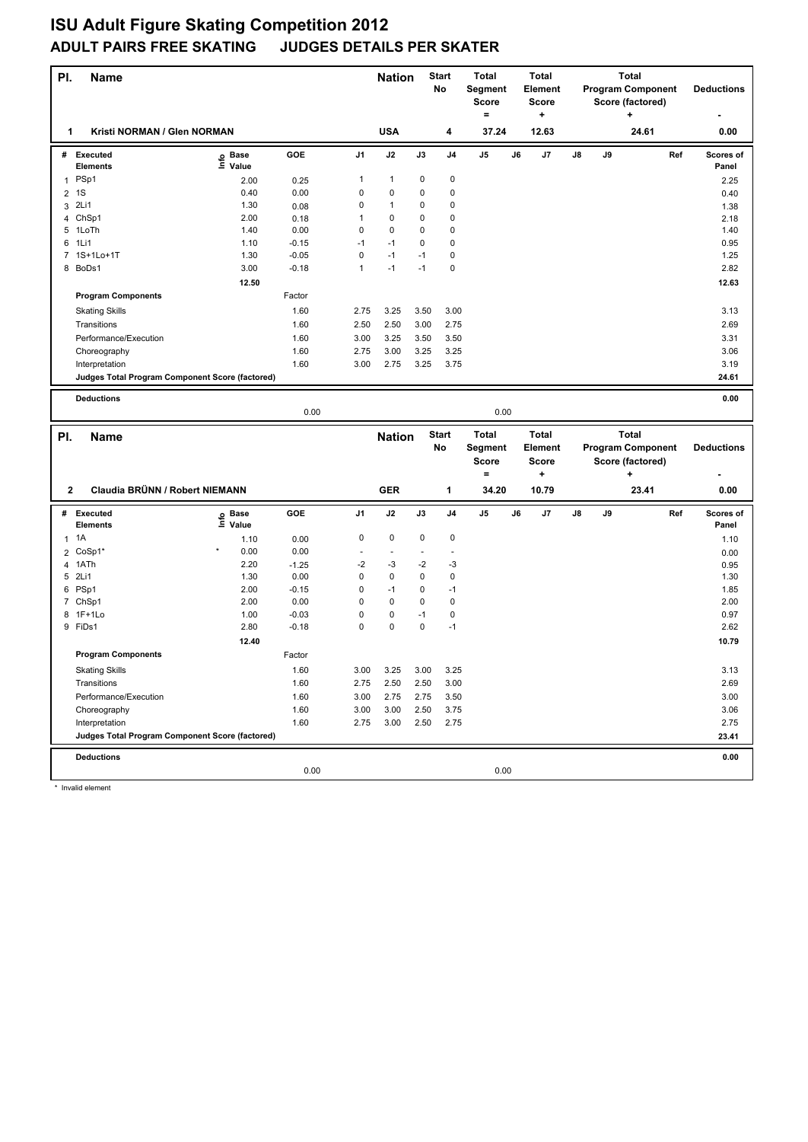| PI.            | <b>Name</b>                                     |                   |                 |              | <b>Nation</b> |         | Start<br>No  | Total<br>Segment<br><b>Score</b><br>$\equiv$ | <b>Total</b><br><b>Element</b><br><b>Score</b><br>+ |    |    | <b>Total</b><br><b>Program Component</b><br>Score (factored)<br>+ |     | <b>Deductions</b>         |
|----------------|-------------------------------------------------|-------------------|-----------------|--------------|---------------|---------|--------------|----------------------------------------------|-----------------------------------------------------|----|----|-------------------------------------------------------------------|-----|---------------------------|
| 1              | Kristi NORMAN / Glen NORMAN                     |                   |                 |              | <b>USA</b>    |         | 4            | 37.24                                        | 12.63                                               |    |    | 24.61                                                             |     | 0.00                      |
|                | # Executed<br><b>Elements</b>                   | e Base<br>⊆ Value | GOE             | J1           | J2            | J3      | J4           | J5                                           | J6<br>J7                                            | J8 | J9 |                                                                   | Ref | <b>Scores of</b><br>Panel |
|                | 1 PSp1                                          | 2.00              | 0.25            | 1            | 1             | 0       | 0            |                                              |                                                     |    |    |                                                                   |     | 2.25                      |
| $\overline{c}$ | 1S                                              | 0.40              | 0.00            | 0            | 0             | 0       | 0            |                                              |                                                     |    |    |                                                                   |     | 0.40                      |
|                | 3 2Li1                                          | 1.30              | 0.08            | 0            | 1             | 0       | 0            |                                              |                                                     |    |    |                                                                   |     | 1.38                      |
|                | 4 ChSp1                                         | 2.00              | 0.18            | 1            | 0             | 0       | 0            |                                              |                                                     |    |    |                                                                   |     | 2.18                      |
|                | 5 1LoTh                                         | 1.40              | 0.00            | 0            | 0             | 0       | 0            |                                              |                                                     |    |    |                                                                   |     | 1.40                      |
| 6              | 1Li1                                            | 1.10              | $-0.15$         | $-1$         | $-1$          | 0       | 0            |                                              |                                                     |    |    |                                                                   |     | 0.95                      |
|                | 7 1S+1Lo+1T                                     | 1.30              | $-0.05$         | 0            | $-1$          | -1      | 0            |                                              |                                                     |    |    |                                                                   |     | 1.25                      |
|                | 8 BoDs1                                         | 3.00              | $-0.18$         | $\mathbf{1}$ | $-1$          | $-1$    | 0            |                                              |                                                     |    |    |                                                                   |     | 2.82                      |
|                |                                                 | 12.50             |                 |              |               |         |              |                                              |                                                     |    |    |                                                                   |     | 12.63                     |
|                | <b>Program Components</b>                       |                   | Factor          |              |               |         |              |                                              |                                                     |    |    |                                                                   |     |                           |
|                | <b>Skating Skills</b>                           |                   | 1.60            | 2.75         | 3.25          | 3.50    | 3.00         |                                              |                                                     |    |    |                                                                   |     | 3.13                      |
|                | Transitions                                     |                   | 1.60            | 2.50         | 2.50          | 3.00    | 2.75         |                                              |                                                     |    |    |                                                                   |     | 2.69                      |
|                | Performance/Execution                           |                   | 1.60            | 3.00         | 3.25          | 3.50    | 3.50         |                                              |                                                     |    |    |                                                                   |     | 3.31                      |
|                | Choreography                                    |                   | 1.60            | 2.75         | 3.00          | 3.25    | 3.25         |                                              |                                                     |    |    |                                                                   |     | 3.06                      |
|                | Interpretation                                  |                   | 1.60            | 3.00         | 2.75          | 3.25    | 3.75         |                                              |                                                     |    |    |                                                                   |     | 3.19                      |
|                | Judges Total Program Component Score (factored) |                   |                 |              |               |         |              |                                              |                                                     |    |    |                                                                   |     | 24.61                     |
|                | <b>Deductions</b>                               |                   |                 |              |               |         |              |                                              |                                                     |    |    |                                                                   |     | 0.00                      |
|                |                                                 |                   | 0.00            |              |               |         |              | 0.00                                         |                                                     |    |    |                                                                   |     |                           |
|                |                                                 |                   |                 |              |               |         |              |                                              |                                                     |    |    |                                                                   |     |                           |
|                |                                                 |                   |                 |              |               |         |              |                                              |                                                     |    |    |                                                                   |     |                           |
| PI.            | Name                                            |                   |                 |              | <b>Nation</b> |         | <b>Start</b> | <b>Total</b>                                 | <b>Total</b>                                        |    |    | <b>Total</b>                                                      |     |                           |
|                |                                                 |                   |                 |              |               |         | No           | Segment                                      | Element                                             |    |    | <b>Program Component</b>                                          |     | <b>Deductions</b>         |
|                |                                                 |                   |                 |              |               |         |              | <b>Score</b>                                 | <b>Score</b>                                        |    |    | Score (factored)                                                  |     |                           |
|                |                                                 |                   |                 |              |               |         |              | $=$                                          | ÷                                                   |    |    | ٠                                                                 |     |                           |
| $\mathbf{2}$   | Claudia BRÜNN / Robert NIEMANN                  |                   |                 |              | <b>GER</b>    |         | 1            | 34.20                                        | 10.79                                               |    |    | 23.41                                                             |     | 0.00                      |
| #              | <b>Executed</b>                                 |                   | GOE             | J1           | J2            | J3      | J4           | J5                                           | J6<br>J7                                            | J8 | J9 |                                                                   | Ref | Scores of                 |
|                | <b>Elements</b>                                 | e Base<br>E Value |                 |              |               | 0       |              |                                              |                                                     |    |    |                                                                   |     | Panel                     |
|                | $1 \t1A$                                        | 1.10              | 0.00<br>0.00    | 0            | 0<br>$\sim$   |         | 0            |                                              |                                                     |    |    |                                                                   |     | 1.10                      |
| 2              | CoSp1*                                          | 0.00              |                 |              |               |         |              |                                              |                                                     |    |    |                                                                   |     | 0.00                      |
|                | 4 1ATh<br>5 2Li1                                | 2.20<br>1.30      | $-1.25$<br>0.00 | $-2$<br>0    | -3<br>0       | -2<br>0 | -3<br>0      |                                              |                                                     |    |    |                                                                   |     | 0.95<br>1.30              |
|                | 6 PSp1                                          | 2.00              | $-0.15$         | 0            | $-1$          | 0       | $-1$         |                                              |                                                     |    |    |                                                                   |     | 1.85                      |
|                | 7 ChSp1                                         | 2.00              | 0.00            | 0            | 0             | 0       | $\pmb{0}$    |                                              |                                                     |    |    |                                                                   |     | 2.00                      |
|                | 8 1F+1Lo                                        | 1.00              | $-0.03$         | 0            | 0             | $-1$    | 0            |                                              |                                                     |    |    |                                                                   |     | 0.97                      |
|                | 9 FiDs1                                         | 2.80              | $-0.18$         | 0            | 0             | 0       | $-1$         |                                              |                                                     |    |    |                                                                   |     | 2.62                      |
|                |                                                 | 12.40             |                 |              |               |         |              |                                              |                                                     |    |    |                                                                   |     | 10.79                     |
|                | <b>Program Components</b>                       |                   | Factor          |              |               |         |              |                                              |                                                     |    |    |                                                                   |     |                           |
|                | <b>Skating Skills</b>                           |                   | 1.60            | 3.00         | 3.25          | 3.00    | 3.25         |                                              |                                                     |    |    |                                                                   |     | 3.13                      |
|                | Transitions                                     |                   | 1.60            | 2.75         | 2.50          | 2.50    | 3.00         |                                              |                                                     |    |    |                                                                   |     | 2.69                      |
|                | Performance/Execution                           |                   | 1.60            | 3.00         | 2.75          | 2.75    | 3.50         |                                              |                                                     |    |    |                                                                   |     | 3.00                      |
|                | Choreography                                    |                   | 1.60            | 3.00         | 3.00          | 2.50    | 3.75         |                                              |                                                     |    |    |                                                                   |     | 3.06                      |
|                | Interpretation                                  |                   | 1.60            | 2.75         | 3.00          | 2.50    | 2.75         |                                              |                                                     |    |    |                                                                   |     | 2.75                      |
|                | Judges Total Program Component Score (factored) |                   |                 |              |               |         |              |                                              |                                                     |    |    |                                                                   |     | 23.41                     |
|                |                                                 |                   |                 |              |               |         |              |                                              |                                                     |    |    |                                                                   |     |                           |
|                | <b>Deductions</b>                               |                   | 0.00            |              |               |         |              | 0.00                                         |                                                     |    |    |                                                                   |     | 0.00                      |

Invalid element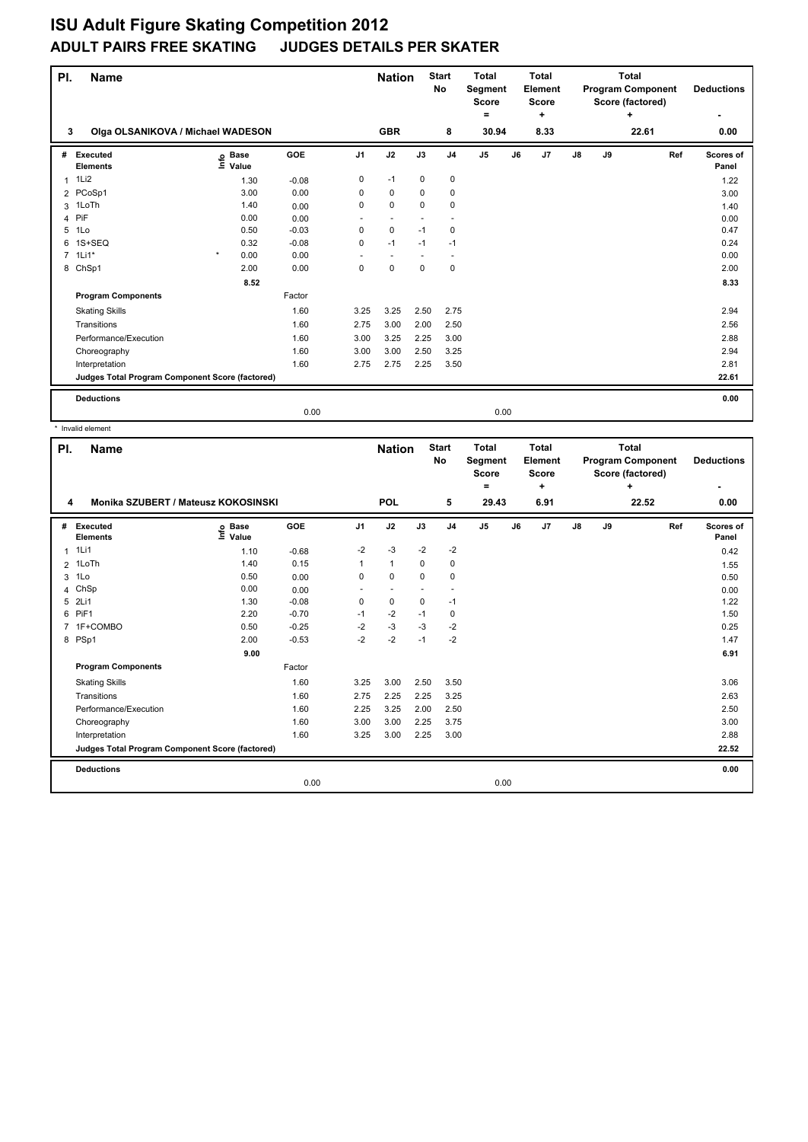| PI.         | <b>Name</b>                                     |                                  |         | <b>Nation</b>  |                          | <b>Start</b><br><b>No</b> | <b>Total</b><br>Segment<br><b>Score</b><br>۰ |                | <b>Total</b><br>Element<br><b>Score</b><br>÷ |    |               | <b>Total</b><br><b>Program Component</b><br>Score (factored)<br>÷ | <b>Deductions</b> |                    |
|-------------|-------------------------------------------------|----------------------------------|---------|----------------|--------------------------|---------------------------|----------------------------------------------|----------------|----------------------------------------------|----|---------------|-------------------------------------------------------------------|-------------------|--------------------|
| 3           | Olga OLSANIKOVA / Michael WADESON               |                                  |         | <b>GBR</b>     |                          | 8                         | 30.94                                        |                | 8.33                                         |    |               | 22.61                                                             | 0.00              |                    |
| #           | Executed<br><b>Elements</b>                     | <b>Base</b><br>e Base<br>⊑ Value | GOE     | J <sub>1</sub> | J2                       | J3                        | J <sub>4</sub>                               | J <sub>5</sub> | J6                                           | J7 | $\mathsf{J}8$ | J9                                                                | Ref               | Scores of<br>Panel |
| 1           | 1Li2                                            | 1.30                             | $-0.08$ | 0              | $-1$                     | 0                         | $\pmb{0}$                                    |                |                                              |    |               |                                                                   |                   | 1.22               |
|             | 2 PCoSp1                                        | 3.00                             | 0.00    | 0              | $\mathbf 0$              | $\mathbf 0$               | $\mathbf 0$                                  |                |                                              |    |               |                                                                   |                   | 3.00               |
| 3           | 1LoTh                                           | 1.40                             | 0.00    | 0              | $\mathbf 0$              | $\Omega$                  | $\mathbf 0$                                  |                |                                              |    |               |                                                                   |                   | 1.40               |
| 4           | PiF                                             | 0.00                             | 0.00    | ٠              | $\overline{\phantom{a}}$ | $\overline{\phantom{a}}$  | $\overline{\phantom{a}}$                     |                |                                              |    |               |                                                                   |                   | 0.00               |
| 5           | 1Lo                                             | 0.50                             | $-0.03$ | 0              | $\mathbf 0$              | $-1$                      | 0                                            |                |                                              |    |               |                                                                   |                   | 0.47               |
| 6           | 1S+SEQ                                          | 0.32                             | $-0.08$ | 0              | $-1$                     | $-1$                      | $-1$                                         |                |                                              |    |               |                                                                   |                   | 0.24               |
| $7^{\circ}$ | $1$ Li $1^*$                                    | $\star$<br>0.00                  | 0.00    |                | ٠                        |                           | ٠.                                           |                |                                              |    |               |                                                                   |                   | 0.00               |
|             | 8 ChSp1                                         | 2.00                             | 0.00    | 0              | $\mathbf 0$              | $\mathbf 0$               | 0                                            |                |                                              |    |               |                                                                   |                   | 2.00               |
|             |                                                 | 8.52                             |         |                |                          |                           |                                              |                |                                              |    |               |                                                                   |                   | 8.33               |
|             | <b>Program Components</b>                       |                                  | Factor  |                |                          |                           |                                              |                |                                              |    |               |                                                                   |                   |                    |
|             | <b>Skating Skills</b>                           |                                  | 1.60    | 3.25           | 3.25                     | 2.50                      | 2.75                                         |                |                                              |    |               |                                                                   |                   | 2.94               |
|             | Transitions                                     |                                  | 1.60    | 2.75           | 3.00                     | 2.00                      | 2.50                                         |                |                                              |    |               |                                                                   |                   | 2.56               |
|             | Performance/Execution                           |                                  | 1.60    | 3.00           | 3.25                     | 2.25                      | 3.00                                         |                |                                              |    |               |                                                                   |                   | 2.88               |
|             | Choreography                                    |                                  | 1.60    | 3.00           | 3.00                     | 2.50                      | 3.25                                         |                |                                              |    |               |                                                                   |                   | 2.94               |
|             | Interpretation                                  |                                  | 1.60    | 2.75           | 2.75                     | 2.25                      | 3.50                                         |                |                                              |    |               |                                                                   |                   | 2.81               |
|             | Judges Total Program Component Score (factored) |                                  |         |                |                          |                           |                                              |                |                                              |    |               |                                                                   |                   | 22.61              |
|             | <b>Deductions</b>                               |                                  |         |                |                          |                           |                                              |                |                                              |    |               |                                                                   |                   | 0.00               |
|             |                                                 |                                  | 0.00    |                |                          |                           |                                              | 0.00           |                                              |    |               |                                                                   |                   |                    |

|                | Invalid element                                 |                                  |            |                |                          |                          |                          |                                                |    |                                       |                                                            |    |       |                    |
|----------------|-------------------------------------------------|----------------------------------|------------|----------------|--------------------------|--------------------------|--------------------------|------------------------------------------------|----|---------------------------------------|------------------------------------------------------------|----|-------|--------------------|
| PI.            | <b>Name</b>                                     |                                  |            |                | <b>Nation</b>            |                          | <b>Start</b><br>No       | <b>Total</b><br>Segment<br><b>Score</b><br>$=$ |    | Total<br>Element<br><b>Score</b><br>÷ | Total<br><b>Program Component</b><br>Score (factored)<br>÷ |    |       | <b>Deductions</b>  |
|                | Monika SZUBERT / Mateusz KOKOSINSKI<br>4        |                                  |            |                | POL                      |                          | 5                        | 29.43                                          |    | 6.91                                  |                                                            |    | 22.52 | 0.00               |
| #              | Executed<br><b>Elements</b>                     | <b>Base</b><br>e Base<br>⊆ Value | <b>GOE</b> | J <sub>1</sub> | J2                       | J3                       | J <sub>4</sub>           | J <sub>5</sub>                                 | J6 | J7                                    | J8                                                         | J9 | Ref   | Scores of<br>Panel |
| $\mathbf{1}$   | 1Li1                                            | 1.10                             | $-0.68$    | $-2$           | $-3$                     | $-2$                     | $-2$                     |                                                |    |                                       |                                                            |    |       | 0.42               |
| $\overline{2}$ | 1LoTh                                           | 1.40                             | 0.15       | 1              | $\mathbf{1}$             | 0                        | 0                        |                                                |    |                                       |                                                            |    |       | 1.55               |
| 3              | 1Lo                                             | 0.50                             | 0.00       | 0              | $\Omega$                 | $\Omega$                 | 0                        |                                                |    |                                       |                                                            |    |       | 0.50               |
| 4              | ChSp                                            | 0.00                             | 0.00       | ٠              | $\overline{\phantom{a}}$ | $\overline{\phantom{a}}$ | $\overline{\phantom{a}}$ |                                                |    |                                       |                                                            |    |       | 0.00               |
| 5              | 2Li1                                            | 1.30                             | $-0.08$    | 0              | $\mathbf 0$              | $\mathbf 0$              | $-1$                     |                                                |    |                                       |                                                            |    |       | 1.22               |
| 6              | PiF <sub>1</sub>                                | 2.20                             | $-0.70$    | $-1$           | $-2$                     | $-1$                     | 0                        |                                                |    |                                       |                                                            |    |       | 1.50               |
|                | 7 1F+COMBO                                      | 0.50                             | $-0.25$    | $-2$           | $-3$                     | $-3$                     | $-2$                     |                                                |    |                                       |                                                            |    |       | 0.25               |
|                | 8 PSp1                                          | 2.00                             | $-0.53$    | $-2$           | $-2$                     | $-1$                     | $-2$                     |                                                |    |                                       |                                                            |    |       | 1.47               |
|                |                                                 | 9.00                             |            |                |                          |                          |                          |                                                |    |                                       |                                                            |    |       | 6.91               |
|                | <b>Program Components</b>                       |                                  | Factor     |                |                          |                          |                          |                                                |    |                                       |                                                            |    |       |                    |
|                | <b>Skating Skills</b>                           |                                  | 1.60       | 3.25           | 3.00                     | 2.50                     | 3.50                     |                                                |    |                                       |                                                            |    |       | 3.06               |
|                | Transitions                                     |                                  | 1.60       | 2.75           | 2.25                     | 2.25                     | 3.25                     |                                                |    |                                       |                                                            |    |       | 2.63               |
|                | Performance/Execution                           |                                  | 1.60       | 2.25           | 3.25                     | 2.00                     | 2.50                     |                                                |    |                                       |                                                            |    |       | 2.50               |
|                | Choreography                                    |                                  | 1.60       | 3.00           | 3.00                     | 2.25                     | 3.75                     |                                                |    |                                       |                                                            |    |       | 3.00               |
|                | Interpretation                                  |                                  | 1.60       | 3.25           | 3.00                     | 2.25                     | 3.00                     |                                                |    |                                       |                                                            |    |       | 2.88               |
|                | Judges Total Program Component Score (factored) |                                  |            |                |                          |                          |                          |                                                |    |                                       |                                                            |    |       | 22.52              |
|                | <b>Deductions</b>                               |                                  |            |                |                          |                          |                          |                                                |    |                                       |                                                            |    |       | 0.00               |
|                |                                                 |                                  | 0.00       |                |                          |                          |                          | 0.00                                           |    |                                       |                                                            |    |       |                    |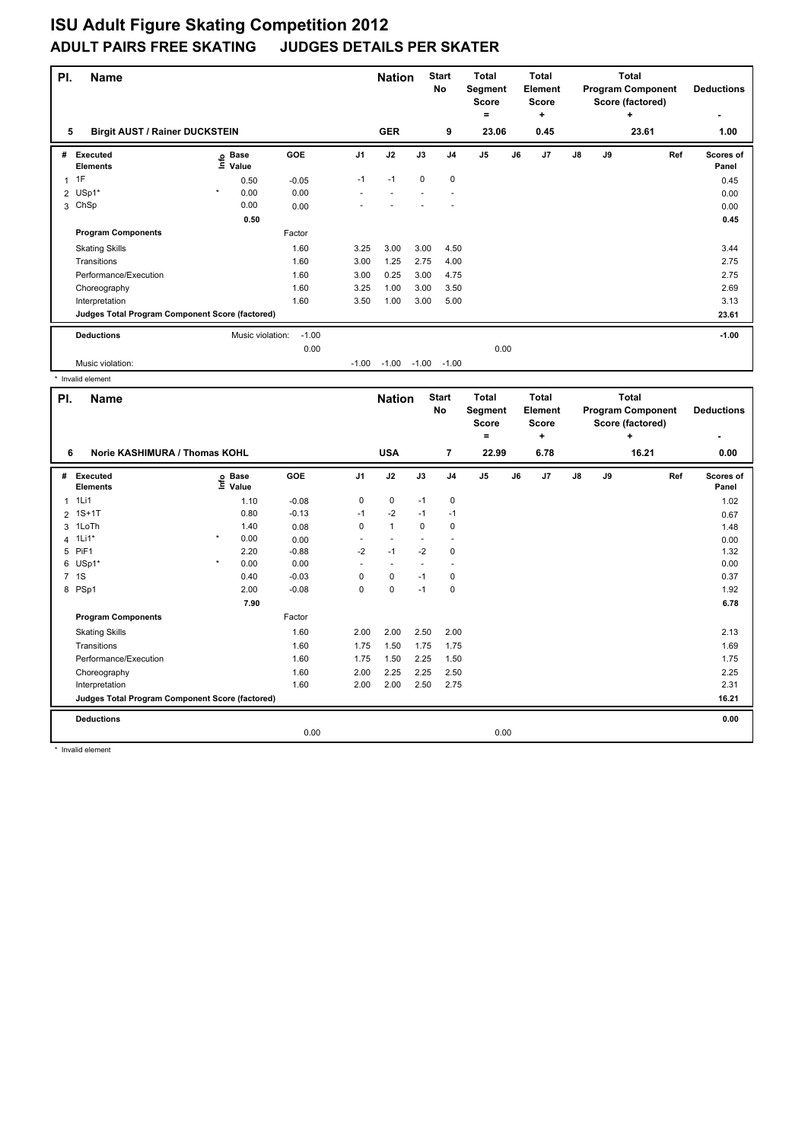| PI. | <b>Name</b>                                     |         | <b>Nation</b>             |         | <b>Start</b><br>No | <b>Total</b><br>Segment<br><b>Score</b><br>= |             | <b>Total</b><br>Element<br><b>Score</b><br>÷ |    |      | Total<br><b>Program Component</b><br>Score (factored)<br>÷ | <b>Deductions</b><br>٠ |    |     |                           |
|-----|-------------------------------------------------|---------|---------------------------|---------|--------------------|----------------------------------------------|-------------|----------------------------------------------|----|------|------------------------------------------------------------|------------------------|----|-----|---------------------------|
| 5   | <b>Birgit AUST / Rainer DUCKSTEIN</b>           |         | <b>GER</b>                |         | 9                  | 23.06                                        |             | 0.45                                         |    |      | 23.61                                                      | 1.00                   |    |     |                           |
| #   | Executed<br><b>Elements</b>                     |         | Base<br>e Base<br>≞ Value | GOE     | J <sub>1</sub>     | J2                                           | J3          | J <sub>4</sub>                               | J5 | J6   | J7                                                         | $\mathsf{J}8$          | J9 | Ref | <b>Scores of</b><br>Panel |
|     | 1F                                              |         | 0.50                      | $-0.05$ | $-1$               | $-1$                                         | $\mathbf 0$ | $\mathbf 0$                                  |    |      |                                                            |                        |    |     | 0.45                      |
|     | 2 USp1*                                         | $\star$ | 0.00                      | 0.00    |                    |                                              |             |                                              |    |      |                                                            |                        |    |     | 0.00                      |
|     | 3 ChSp                                          |         | 0.00                      | 0.00    |                    |                                              |             |                                              |    |      |                                                            |                        |    |     | 0.00                      |
|     |                                                 |         | 0.50                      |         |                    |                                              |             |                                              |    |      |                                                            |                        |    |     | 0.45                      |
|     | <b>Program Components</b>                       |         |                           | Factor  |                    |                                              |             |                                              |    |      |                                                            |                        |    |     |                           |
|     | <b>Skating Skills</b>                           |         |                           | 1.60    | 3.25               | 3.00                                         | 3.00        | 4.50                                         |    |      |                                                            |                        |    |     | 3.44                      |
|     | Transitions                                     |         |                           | 1.60    | 3.00               | 1.25                                         | 2.75        | 4.00                                         |    |      |                                                            |                        |    |     | 2.75                      |
|     | Performance/Execution                           |         |                           | 1.60    | 3.00               | 0.25                                         | 3.00        | 4.75                                         |    |      |                                                            |                        |    |     | 2.75                      |
|     | Choreography                                    |         |                           | 1.60    | 3.25               | 1.00                                         | 3.00        | 3.50                                         |    |      |                                                            |                        |    |     | 2.69                      |
|     | Interpretation                                  |         |                           | 1.60    | 3.50               | 1.00                                         | 3.00        | 5.00                                         |    |      |                                                            |                        |    |     | 3.13                      |
|     | Judges Total Program Component Score (factored) |         |                           |         |                    |                                              |             |                                              |    |      |                                                            |                        |    |     | 23.61                     |
|     | <b>Deductions</b>                               |         | Music violation:          | $-1.00$ |                    |                                              |             |                                              |    |      |                                                            |                        |    |     | $-1.00$                   |
|     |                                                 |         |                           | 0.00    |                    |                                              |             |                                              |    | 0.00 |                                                            |                        |    |     |                           |
|     | Music violation:                                |         |                           |         | $-1.00$            | $-1.00$                                      | $-1.00$     | $-1.00$                                      |    |      |                                                            |                        |    |     |                           |

|                                    | Invalid element                                 |         |                   |         |                |                          |               |                    |                                              |    |                                              |                |                                                              |                        |                    |
|------------------------------------|-------------------------------------------------|---------|-------------------|---------|----------------|--------------------------|---------------|--------------------|----------------------------------------------|----|----------------------------------------------|----------------|--------------------------------------------------------------|------------------------|--------------------|
| PI.                                | <b>Name</b>                                     |         |                   |         |                |                          | <b>Nation</b> | <b>Start</b><br>No | <b>Total</b><br>Segment<br><b>Score</b><br>۰ |    | <b>Total</b><br>Element<br><b>Score</b><br>÷ |                | <b>Total</b><br><b>Program Component</b><br>Score (factored) | <b>Deductions</b><br>٠ |                    |
| Norie KASHIMURA / Thomas KOHL<br>6 |                                                 |         |                   |         |                | <b>USA</b>               |               | $\overline{7}$     | 22.99                                        |    | 6.78                                         |                |                                                              | 16.21                  | 0.00               |
| #                                  | <b>Executed</b><br><b>Elements</b>              |         | e Base<br>E Value | GOE     | J <sub>1</sub> | J2                       | J3            | J <sub>4</sub>     | J <sub>5</sub>                               | J6 | J7                                           | $\mathbf{J}$ 8 | J9                                                           | Ref                    | Scores of<br>Panel |
|                                    | 1Li1                                            |         | 1.10              | $-0.08$ | 0              | $\mathbf 0$              | $-1$          | $\mathbf 0$        |                                              |    |                                              |                |                                                              |                        | 1.02               |
| 2                                  | $1S+1T$                                         |         | 0.80              | $-0.13$ | $-1$           | $-2$                     | $-1$          | $-1$               |                                              |    |                                              |                |                                                              |                        | 0.67               |
| 3                                  | 1LoTh                                           |         | 1.40              | 0.08    | $\Omega$       | $\mathbf{1}$             | $\Omega$      | $\Omega$           |                                              |    |                                              |                |                                                              |                        | 1.48               |
| 4                                  | $1$ Li $1$ *                                    | $\star$ | 0.00              | 0.00    |                | $\overline{\phantom{a}}$ |               | $\sim$             |                                              |    |                                              |                |                                                              |                        | 0.00               |
|                                    | 5 PiF1                                          |         | 2.20              | $-0.88$ | $-2$           | $-1$                     | $-2$          | 0                  |                                              |    |                                              |                |                                                              |                        | 1.32               |
|                                    | 6 USp1*                                         | $\star$ | 0.00              | 0.00    |                | $\overline{\phantom{a}}$ |               | $\sim$             |                                              |    |                                              |                |                                                              |                        | 0.00               |
|                                    | 7 1S                                            |         | 0.40              | $-0.03$ | 0              | $\mathbf 0$              | $-1$          | $\mathbf 0$        |                                              |    |                                              |                |                                                              |                        | 0.37               |
|                                    | 8 PSp1                                          |         | 2.00              | $-0.08$ | 0              | 0                        | $-1$          | 0                  |                                              |    |                                              |                |                                                              |                        | 1.92               |
|                                    |                                                 |         | 7.90              |         |                |                          |               |                    |                                              |    |                                              |                |                                                              |                        | 6.78               |
|                                    | <b>Program Components</b>                       |         |                   | Factor  |                |                          |               |                    |                                              |    |                                              |                |                                                              |                        |                    |
|                                    | <b>Skating Skills</b>                           |         |                   | 1.60    | 2.00           | 2.00                     | 2.50          | 2.00               |                                              |    |                                              |                |                                                              |                        | 2.13               |
|                                    | Transitions                                     |         |                   | 1.60    | 1.75           | 1.50                     | 1.75          | 1.75               |                                              |    |                                              |                |                                                              |                        | 1.69               |
|                                    | Performance/Execution                           |         |                   | 1.60    | 1.75           | 1.50                     | 2.25          | 1.50               |                                              |    |                                              |                |                                                              |                        | 1.75               |
|                                    | Choreography                                    |         |                   | 1.60    | 2.00           | 2.25                     | 2.25          | 2.50               |                                              |    |                                              |                |                                                              |                        | 2.25               |
|                                    | Interpretation                                  |         |                   | 1.60    | 2.00           | 2.00                     | 2.50          | 2.75               |                                              |    |                                              |                |                                                              |                        | 2.31               |
|                                    | Judges Total Program Component Score (factored) |         |                   |         |                |                          |               |                    |                                              |    |                                              |                |                                                              |                        | 16.21              |
|                                    | <b>Deductions</b>                               |         |                   |         |                |                          |               |                    |                                              |    |                                              |                |                                                              |                        | 0.00               |
|                                    |                                                 |         |                   | 0.00    |                |                          |               |                    | 0.00                                         |    |                                              |                |                                                              |                        |                    |

\* Invalid element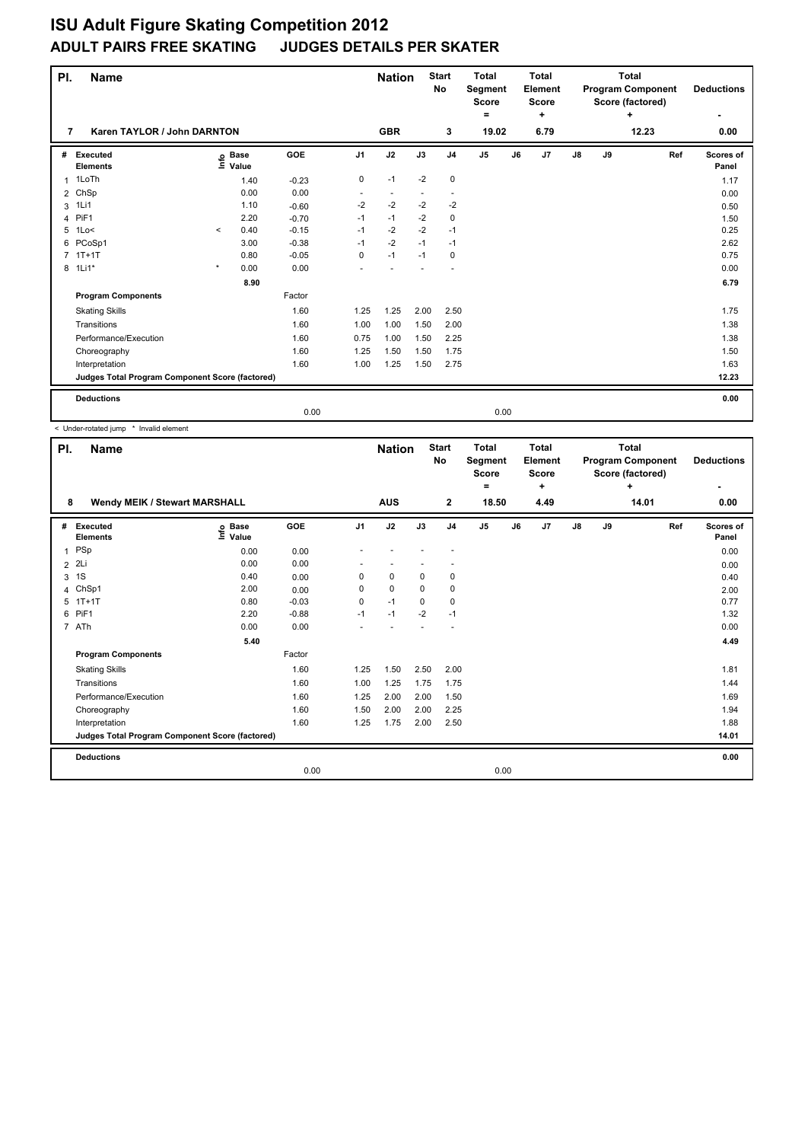| PI. | <b>Name</b>                                     |         |                      |         |                          | <b>Nation</b>  |                          | <b>Start</b><br>No       | <b>Total</b><br><b>Segment</b><br>Score<br>۰ |    | <b>Total</b><br>Element<br><b>Score</b><br>÷ |    | <b>Total</b><br><b>Program Component</b><br>Score (factored) | <b>Deductions</b> |                    |
|-----|-------------------------------------------------|---------|----------------------|---------|--------------------------|----------------|--------------------------|--------------------------|----------------------------------------------|----|----------------------------------------------|----|--------------------------------------------------------------|-------------------|--------------------|
| 7   | Karen TAYLOR / John DARNTON                     |         |                      |         |                          | <b>GBR</b>     |                          | 3                        | 19.02                                        |    | 6.79                                         |    |                                                              | 0.00              |                    |
| #   | Executed<br><b>Elements</b>                     | e       | <b>Base</b><br>Value | GOE     | J <sub>1</sub>           | J2             | J3                       | J <sub>4</sub>           | J <sub>5</sub>                               | J6 | J <sub>7</sub>                               | J8 | J9                                                           | Ref               | Scores of<br>Panel |
| 1   | 1LoTh                                           |         | 1.40                 | $-0.23$ | 0                        | $-1$           | $-2$                     | $\mathbf 0$              |                                              |    |                                              |    |                                                              |                   | 1.17               |
|     | 2 ChSp                                          |         | 0.00                 | 0.00    | $\overline{\phantom{a}}$ | $\blacksquare$ | $\overline{\phantom{a}}$ | $\overline{\phantom{a}}$ |                                              |    |                                              |    |                                                              |                   | 0.00               |
| 3   | 1Li1                                            |         | 1.10                 | $-0.60$ | $-2$                     | $-2$           | $-2$                     | $-2$                     |                                              |    |                                              |    |                                                              |                   | 0.50               |
| 4   | PiF1                                            |         | 2.20                 | $-0.70$ | $-1$                     | $-1$           | $-2$                     | 0                        |                                              |    |                                              |    |                                                              |                   | 1.50               |
| 5   | 1Lo<                                            | $\prec$ | 0.40                 | $-0.15$ | $-1$                     | $-2$           | $-2$                     | $-1$                     |                                              |    |                                              |    |                                                              |                   | 0.25               |
| 6   | PCoSp1                                          |         | 3.00                 | $-0.38$ | $-1$                     | $-2$           | $-1$                     | $-1$                     |                                              |    |                                              |    |                                                              |                   | 2.62               |
|     | $7$ 1T+1T                                       |         | 0.80                 | $-0.05$ | 0                        | $-1$           | $-1$                     | 0                        |                                              |    |                                              |    |                                                              |                   | 0.75               |
|     | 8 1Li1*                                         | $\star$ | 0.00                 | 0.00    |                          |                |                          |                          |                                              |    |                                              |    |                                                              |                   | 0.00               |
|     |                                                 |         | 8.90                 |         |                          |                |                          |                          |                                              |    |                                              |    |                                                              |                   | 6.79               |
|     | <b>Program Components</b>                       |         |                      | Factor  |                          |                |                          |                          |                                              |    |                                              |    |                                                              |                   |                    |
|     | <b>Skating Skills</b>                           |         |                      | 1.60    | 1.25                     | 1.25           | 2.00                     | 2.50                     |                                              |    |                                              |    |                                                              |                   | 1.75               |
|     | Transitions                                     |         |                      | 1.60    | 1.00                     | 1.00           | 1.50                     | 2.00                     |                                              |    |                                              |    |                                                              |                   | 1.38               |
|     | Performance/Execution                           |         |                      | 1.60    | 0.75                     | 1.00           | 1.50                     | 2.25                     |                                              |    |                                              |    |                                                              |                   | 1.38               |
|     | Choreography                                    |         |                      | 1.60    | 1.25                     | 1.50           | 1.50                     | 1.75                     |                                              |    |                                              |    |                                                              |                   | 1.50               |
|     | Interpretation                                  |         |                      | 1.60    | 1.00                     | 1.25           | 1.50                     | 2.75                     |                                              |    |                                              |    |                                                              |                   | 1.63               |
|     | Judges Total Program Component Score (factored) |         |                      |         |                          |                |                          |                          |                                              |    |                                              |    |                                                              |                   | 12.23              |
|     | <b>Deductions</b>                               |         |                      |         |                          |                |                          |                          |                                              |    |                                              |    |                                                              |                   | 0.00               |
|     |                                                 |         |                      | 0.00    |                          |                |                          |                          | 0.00                                         |    |                                              |    |                                                              |                   |                    |

< Under-rotated jump \* Invalid element

| PI.          | <b>Name</b>                                     |                   |            |                | <b>Nation</b> |             | <b>Start</b><br>No | <b>Total</b><br>Segment<br><b>Score</b><br>= | <b>Total</b><br>Element<br><b>Score</b><br>٠ |               |    | <b>Total</b><br><b>Program Component</b><br>Score (factored)<br>÷ | <b>Deductions</b>  |
|--------------|-------------------------------------------------|-------------------|------------|----------------|---------------|-------------|--------------------|----------------------------------------------|----------------------------------------------|---------------|----|-------------------------------------------------------------------|--------------------|
| 8            | Wendy MEIK / Stewart MARSHALL                   |                   |            |                | <b>AUS</b>    |             | $\mathbf{2}$       | 18.50                                        | 4.49                                         |               |    | 14.01                                                             | 0.00               |
| #            | <b>Executed</b><br><b>Elements</b>              | e Base<br>⊆ Value | <b>GOE</b> | J <sub>1</sub> | J2            | J3          | J <sub>4</sub>     | J <sub>5</sub>                               | J7<br>J6                                     | $\mathsf{J}8$ | J9 | Ref                                                               | Scores of<br>Panel |
| $\mathbf{1}$ | PSp                                             | 0.00              | 0.00       |                |               |             |                    |                                              |                                              |               |    |                                                                   | 0.00               |
|              | 2 2Li                                           | 0.00              | 0.00       |                |               |             |                    |                                              |                                              |               |    |                                                                   | 0.00               |
|              | 3 <sup>1</sup>                                  | 0.40              | 0.00       | 0              | $\mathbf 0$   | $\mathbf 0$ | $\pmb{0}$          |                                              |                                              |               |    |                                                                   | 0.40               |
| 4            | ChSp1                                           | 2.00              | 0.00       | 0              | $\mathbf 0$   | $\Omega$    | $\pmb{0}$          |                                              |                                              |               |    |                                                                   | 2.00               |
| 5            | $1T+1T$                                         | 0.80              | $-0.03$    | 0              | $-1$          | $\Omega$    | $\mathbf 0$        |                                              |                                              |               |    |                                                                   | 0.77               |
| 6            | PiF1                                            | 2.20              | $-0.88$    | $-1$           | $-1$          | $-2$        | $-1$               |                                              |                                              |               |    |                                                                   | 1.32               |
|              | 7 ATh                                           | 0.00              | 0.00       |                |               |             |                    |                                              |                                              |               |    |                                                                   | 0.00               |
|              |                                                 | 5.40              |            |                |               |             |                    |                                              |                                              |               |    |                                                                   | 4.49               |
|              | <b>Program Components</b>                       |                   | Factor     |                |               |             |                    |                                              |                                              |               |    |                                                                   |                    |
|              | <b>Skating Skills</b>                           |                   | 1.60       | 1.25           | 1.50          | 2.50        | 2.00               |                                              |                                              |               |    |                                                                   | 1.81               |
|              | Transitions                                     |                   | 1.60       | 1.00           | 1.25          | 1.75        | 1.75               |                                              |                                              |               |    |                                                                   | 1.44               |
|              | Performance/Execution                           |                   | 1.60       | 1.25           | 2.00          | 2.00        | 1.50               |                                              |                                              |               |    |                                                                   | 1.69               |
|              | Choreography                                    |                   | 1.60       | 1.50           | 2.00          | 2.00        | 2.25               |                                              |                                              |               |    |                                                                   | 1.94               |
|              | Interpretation                                  |                   | 1.60       | 1.25           | 1.75          | 2.00        | 2.50               |                                              |                                              |               |    |                                                                   | 1.88               |
|              | Judges Total Program Component Score (factored) |                   |            |                |               |             |                    |                                              |                                              |               |    |                                                                   | 14.01              |
|              | <b>Deductions</b>                               |                   |            |                |               |             |                    |                                              |                                              |               |    |                                                                   | 0.00               |
|              |                                                 |                   | 0.00       |                |               |             |                    | 0.00                                         |                                              |               |    |                                                                   |                    |